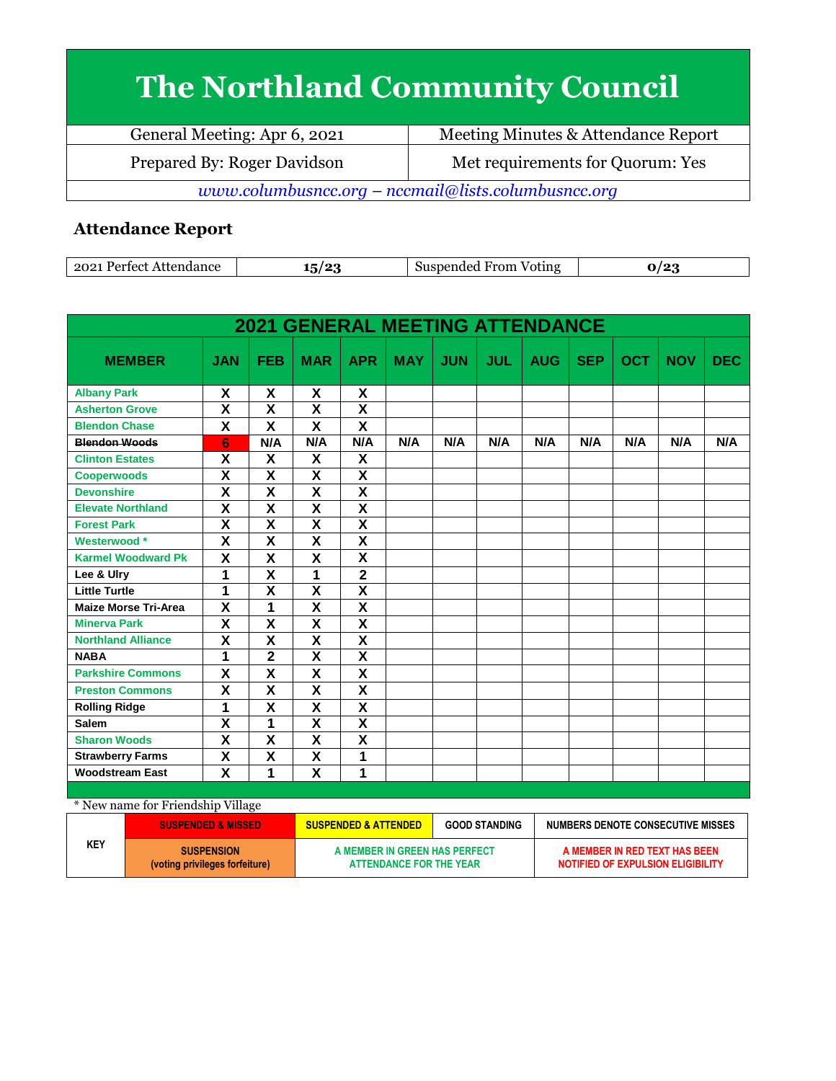# **The Northland Community Council**

| General Meeting: Apr 6, 2021                        | Meeting Minutes & Attendance Report |  |  |  |
|-----------------------------------------------------|-------------------------------------|--|--|--|
| Prepared By: Roger Davidson                         | Met requirements for Quorum: Yes    |  |  |  |
| www.columbusncc.org - nccmail@lists.columbusncc.org |                                     |  |  |  |

### **Attendance Report**

| $202^*$<br>Perfect,<br>Attendance | $\sqrt{2}$<br>. . | From<br>Suspended<br>Voting<br>.SUS | . . |
|-----------------------------------|-------------------|-------------------------------------|-----|

|                             |                           |                           |                         |                           | <b>2021 GENERAL MEETING ATTENDANCE</b> |            |            |            |            |            |            |            |
|-----------------------------|---------------------------|---------------------------|-------------------------|---------------------------|----------------------------------------|------------|------------|------------|------------|------------|------------|------------|
| <b>MEMBER</b>               | <b>JAN</b>                | <b>FEB</b>                | <b>MAR</b>              | <b>APR</b>                | <b>MAY</b>                             | <b>JUN</b> | <b>JUL</b> | <b>AUG</b> | <b>SEP</b> | <b>OCT</b> | <b>NOV</b> | <b>DEC</b> |
| <b>Albany Park</b>          | X                         | X                         | X                       | X                         |                                        |            |            |            |            |            |            |            |
| <b>Asherton Grove</b>       | X                         | X                         | X                       | X                         |                                        |            |            |            |            |            |            |            |
| <b>Blendon Chase</b>        | $\mathsf{x}$              | X                         | X                       | $\boldsymbol{\mathsf{x}}$ |                                        |            |            |            |            |            |            |            |
| <b>Blendon Woods</b>        | 6                         | N/A                       | N/A                     | N/A                       | N/A                                    | N/A        | N/A        | N/A        | N/A        | N/A        | N/A        | N/A        |
| <b>Clinton Estates</b>      | X                         | X                         | X                       | X                         |                                        |            |            |            |            |            |            |            |
| <b>Cooperwoods</b>          | $\boldsymbol{\mathsf{X}}$ | $\boldsymbol{\mathsf{X}}$ | $\overline{\mathbf{X}}$ | $\pmb{\mathsf{X}}$        |                                        |            |            |            |            |            |            |            |
| <b>Devonshire</b>           | X                         | $\overline{\mathbf{x}}$   | $\overline{\mathsf{x}}$ | $\overline{\mathbf{x}}$   |                                        |            |            |            |            |            |            |            |
| <b>Elevate Northland</b>    | $\overline{\mathbf{x}}$   | $\overline{\mathbf{x}}$   | $\overline{\mathbf{x}}$ | $\overline{\mathbf{x}}$   |                                        |            |            |            |            |            |            |            |
| <b>Forest Park</b>          | X                         | X                         | X                       | X                         |                                        |            |            |            |            |            |            |            |
| Westerwood *                | $\overline{\mathbf{X}}$   | $\overline{\mathbf{X}}$   | $\overline{\mathbf{X}}$ | $\overline{\mathsf{x}}$   |                                        |            |            |            |            |            |            |            |
| <b>Karmel Woodward Pk</b>   | $\mathsf{x}$              | X                         | $\mathbf x$             | $\overline{\mathbf{x}}$   |                                        |            |            |            |            |            |            |            |
| Lee & Ulry                  | 1                         | $\boldsymbol{\mathsf{X}}$ | 1                       | $\mathbf{2}$              |                                        |            |            |            |            |            |            |            |
| <b>Little Turtle</b>        | 1                         | $\overline{\mathbf{x}}$   | $\overline{\mathbf{X}}$ | $\overline{\mathbf{X}}$   |                                        |            |            |            |            |            |            |            |
| <b>Maize Morse Tri-Area</b> | X                         | 1                         | $\overline{\mathsf{x}}$ | $\overline{\mathbf{x}}$   |                                        |            |            |            |            |            |            |            |
| <b>Minerva Park</b>         | $\overline{\mathbf{x}}$   | $\overline{\mathsf{x}}$   | $\overline{\mathsf{x}}$ | $\overline{\mathbf{x}}$   |                                        |            |            |            |            |            |            |            |
| <b>Northland Alliance</b>   | X                         | X                         | $\overline{\mathsf{x}}$ | $\overline{\mathbf{x}}$   |                                        |            |            |            |            |            |            |            |
| <b>NABA</b>                 | 1                         | $\mathbf 2$               | X                       | X                         |                                        |            |            |            |            |            |            |            |
| <b>Parkshire Commons</b>    | X                         | X                         | X                       | $\boldsymbol{\mathsf{x}}$ |                                        |            |            |            |            |            |            |            |
| <b>Preston Commons</b>      | X                         | X                         | X                       | X                         |                                        |            |            |            |            |            |            |            |
| <b>Rolling Ridge</b>        | 1                         | $\overline{\mathsf{x}}$   | $\overline{\mathsf{x}}$ | $\overline{\mathbf{x}}$   |                                        |            |            |            |            |            |            |            |
| <b>Salem</b>                | $\pmb{\mathsf{X}}$        | 1                         | X                       | X                         |                                        |            |            |            |            |            |            |            |
| <b>Sharon Woods</b>         | $\overline{\mathbf{X}}$   | $\overline{\mathbf{x}}$   | $\overline{\mathsf{x}}$ | $\overline{\mathbf{X}}$   |                                        |            |            |            |            |            |            |            |
| <b>Strawberry Farms</b>     | X                         | $\boldsymbol{\mathsf{X}}$ | X                       | 1                         |                                        |            |            |            |            |            |            |            |
| <b>Woodstream East</b>      | $\overline{\mathsf{x}}$   | 1                         | $\overline{\mathsf{x}}$ | 1                         |                                        |            |            |            |            |            |            |            |

| * New name for Friendship Village |                                                     |                                                          |  |                                                                           |  |
|-----------------------------------|-----------------------------------------------------|----------------------------------------------------------|--|---------------------------------------------------------------------------|--|
| <b>SUSPENDED &amp; MISSED</b>     |                                                     | <b>SUSPENDED &amp; ATTENDED</b><br><b>GOOD STANDING</b>  |  | NUMBERS DENOTE CONSECUTIVE MISSES                                         |  |
| KEY                               | <b>SUSPENSION</b><br>(voting privileges forfeiture) | A MEMBER IN GREEN HAS PERFECT<br>ATTENDANCE FOR THE YEAR |  | A MEMBER IN RED TEXT HAS BEEN<br><b>NOTIFIED OF EXPULSION ELIGIBILITY</b> |  |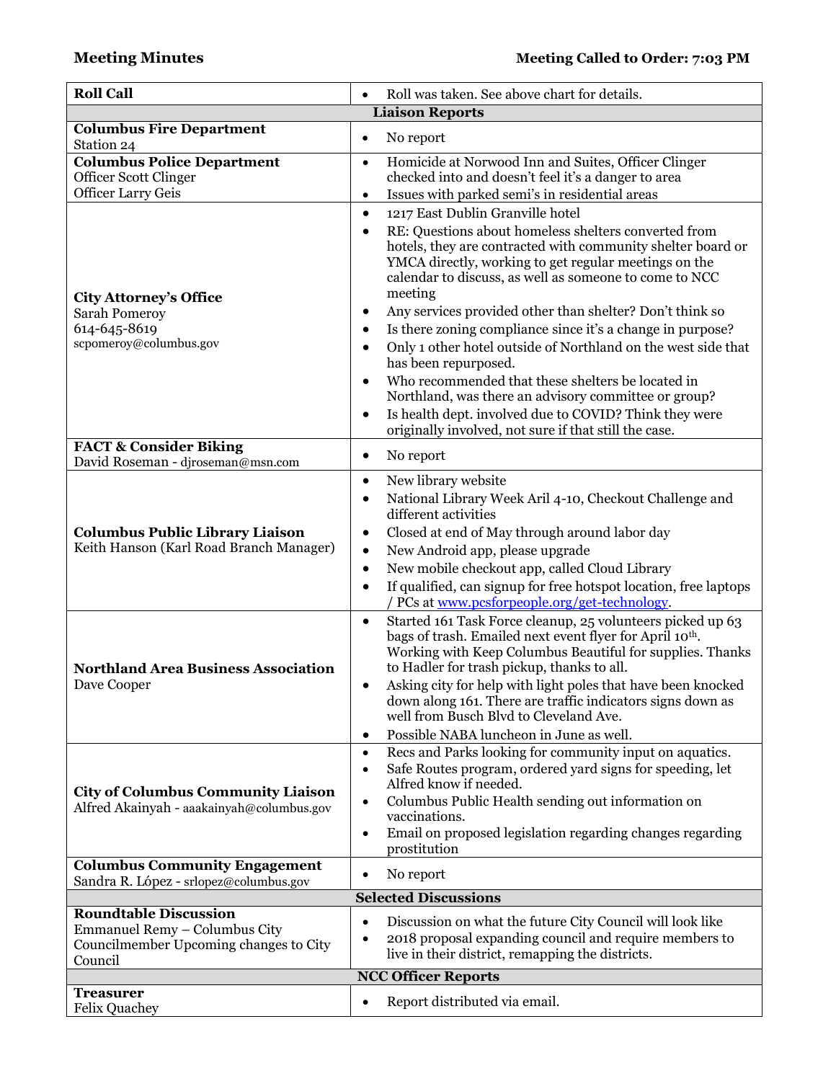| <b>Roll Call</b>                                                                                                   | Roll was taken. See above chart for details.<br>$\bullet$                                                                                                                                                                                                                                                                                                                                                                                                                                                                                                                                                                                                                                                                                                                                                                           |
|--------------------------------------------------------------------------------------------------------------------|-------------------------------------------------------------------------------------------------------------------------------------------------------------------------------------------------------------------------------------------------------------------------------------------------------------------------------------------------------------------------------------------------------------------------------------------------------------------------------------------------------------------------------------------------------------------------------------------------------------------------------------------------------------------------------------------------------------------------------------------------------------------------------------------------------------------------------------|
|                                                                                                                    | <b>Liaison Reports</b>                                                                                                                                                                                                                                                                                                                                                                                                                                                                                                                                                                                                                                                                                                                                                                                                              |
| <b>Columbus Fire Department</b><br>Station 24                                                                      | No report<br>$\bullet$                                                                                                                                                                                                                                                                                                                                                                                                                                                                                                                                                                                                                                                                                                                                                                                                              |
| <b>Columbus Police Department</b><br>Officer Scott Clinger<br><b>Officer Larry Geis</b>                            | Homicide at Norwood Inn and Suites, Officer Clinger<br>$\bullet$<br>checked into and doesn't feel it's a danger to area<br>Issues with parked semi's in residential areas<br>$\bullet$                                                                                                                                                                                                                                                                                                                                                                                                                                                                                                                                                                                                                                              |
| <b>City Attorney's Office</b><br><b>Sarah Pomeroy</b><br>614-645-8619<br>scpomeroy@columbus.gov                    | 1217 East Dublin Granville hotel<br>$\bullet$<br>RE: Questions about homeless shelters converted from<br>$\bullet$<br>hotels, they are contracted with community shelter board or<br>YMCA directly, working to get regular meetings on the<br>calendar to discuss, as well as someone to come to NCC<br>meeting<br>Any services provided other than shelter? Don't think so<br>$\bullet$<br>Is there zoning compliance since it's a change in purpose?<br>$\bullet$<br>Only 1 other hotel outside of Northland on the west side that<br>$\bullet$<br>has been repurposed.<br>Who recommended that these shelters be located in<br>$\bullet$<br>Northland, was there an advisory committee or group?<br>Is health dept. involved due to COVID? Think they were<br>$\bullet$<br>originally involved, not sure if that still the case. |
| <b>FACT &amp; Consider Biking</b><br>David Roseman - djroseman@msn.com                                             | No report<br>$\bullet$                                                                                                                                                                                                                                                                                                                                                                                                                                                                                                                                                                                                                                                                                                                                                                                                              |
| <b>Columbus Public Library Liaison</b><br>Keith Hanson (Karl Road Branch Manager)                                  | New library website<br>$\bullet$<br>National Library Week Aril 4-10, Checkout Challenge and<br>$\bullet$<br>different activities<br>Closed at end of May through around labor day<br>$\bullet$<br>New Android app, please upgrade<br>$\bullet$<br>New mobile checkout app, called Cloud Library<br>$\bullet$<br>If qualified, can signup for free hotspot location, free laptops<br>$\bullet$<br>PCs at www.pcsforpeople.org/get-technology.                                                                                                                                                                                                                                                                                                                                                                                        |
| <b>Northland Area Business Association</b><br>Dave Cooper                                                          | Started 161 Task Force cleanup, 25 volunteers picked up 63<br>$\bullet$<br>bags of trash. Emailed next event flyer for April 10 <sup>th</sup> .<br>Working with Keep Columbus Beautiful for supplies. Thanks<br>to Hadler for trash pickup, thanks to all.<br>Asking city for help with light poles that have been knocked<br>٠<br>down along 161. There are traffic indicators signs down as<br>well from Busch Blvd to Cleveland Ave.<br>Possible NABA luncheon in June as well.<br>$\bullet$                                                                                                                                                                                                                                                                                                                                     |
| <b>City of Columbus Community Liaison</b><br>Alfred Akainyah - aaakainyah@columbus.gov                             | Recs and Parks looking for community input on aquatics.<br>$\bullet$<br>Safe Routes program, ordered yard signs for speeding, let<br>$\bullet$<br>Alfred know if needed.<br>Columbus Public Health sending out information on<br>$\bullet$<br>vaccinations.<br>Email on proposed legislation regarding changes regarding<br>$\bullet$<br>prostitution                                                                                                                                                                                                                                                                                                                                                                                                                                                                               |
| <b>Columbus Community Engagement</b><br>Sandra R. López - srlopez@columbus.gov                                     | No report<br>$\bullet$                                                                                                                                                                                                                                                                                                                                                                                                                                                                                                                                                                                                                                                                                                                                                                                                              |
|                                                                                                                    | <b>Selected Discussions</b>                                                                                                                                                                                                                                                                                                                                                                                                                                                                                                                                                                                                                                                                                                                                                                                                         |
| <b>Roundtable Discussion</b><br>Emmanuel Remy - Columbus City<br>Councilmember Upcoming changes to City<br>Council | Discussion on what the future City Council will look like<br>$\bullet$<br>2018 proposal expanding council and require members to<br>live in their district, remapping the districts.                                                                                                                                                                                                                                                                                                                                                                                                                                                                                                                                                                                                                                                |
|                                                                                                                    | <b>NCC Officer Reports</b>                                                                                                                                                                                                                                                                                                                                                                                                                                                                                                                                                                                                                                                                                                                                                                                                          |
| <b>Treasurer</b><br><b>Felix Quachey</b>                                                                           | Report distributed via email.                                                                                                                                                                                                                                                                                                                                                                                                                                                                                                                                                                                                                                                                                                                                                                                                       |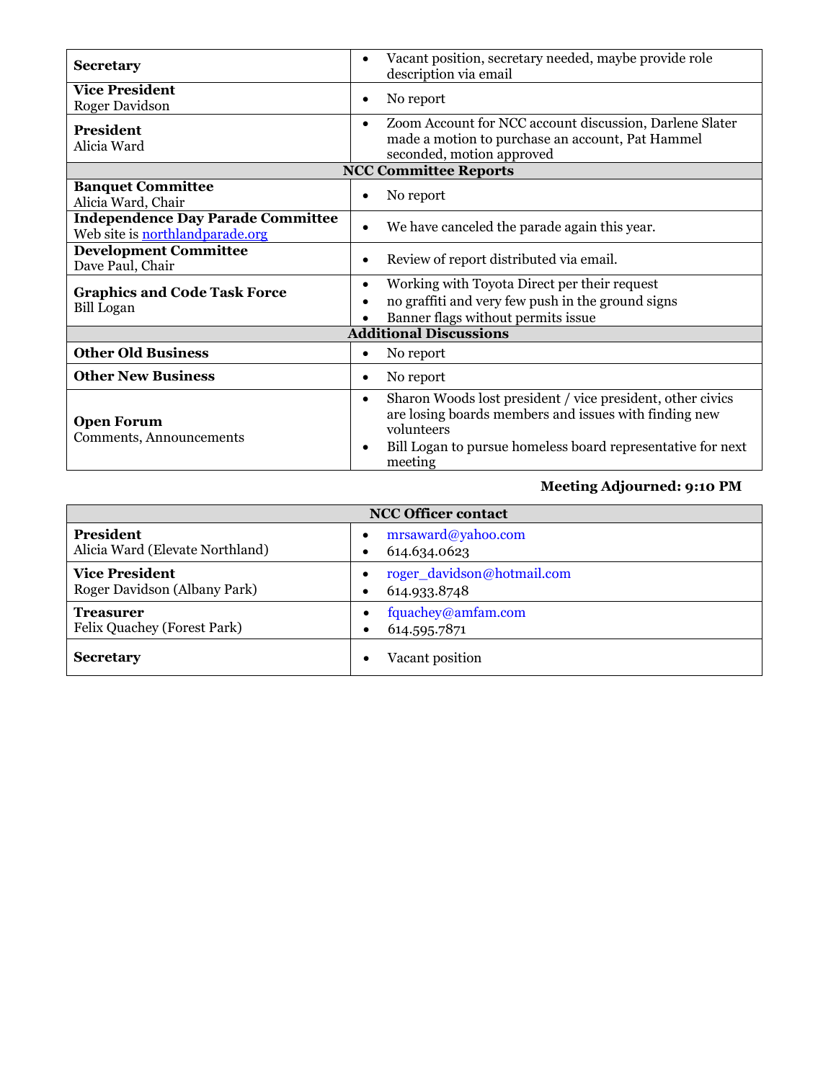| <b>Secretary</b>                                                            | Vacant position, secretary needed, maybe provide role<br>description via email                                                                                                                                           |  |  |  |  |  |
|-----------------------------------------------------------------------------|--------------------------------------------------------------------------------------------------------------------------------------------------------------------------------------------------------------------------|--|--|--|--|--|
| <b>Vice President</b><br>Roger Davidson                                     | No report<br>٠                                                                                                                                                                                                           |  |  |  |  |  |
| <b>President</b><br>Alicia Ward                                             | Zoom Account for NCC account discussion, Darlene Slater<br>$\bullet$<br>made a motion to purchase an account, Pat Hammel<br>seconded, motion approved                                                                    |  |  |  |  |  |
|                                                                             | <b>NCC Committee Reports</b>                                                                                                                                                                                             |  |  |  |  |  |
| <b>Banquet Committee</b><br>Alicia Ward, Chair                              | No report<br>$\bullet$                                                                                                                                                                                                   |  |  |  |  |  |
| <b>Independence Day Parade Committee</b><br>Web site is northlandparade.org | We have canceled the parade again this year.<br>$\bullet$                                                                                                                                                                |  |  |  |  |  |
| <b>Development Committee</b><br>Dave Paul, Chair                            | Review of report distributed via email.<br>٠                                                                                                                                                                             |  |  |  |  |  |
| <b>Graphics and Code Task Force</b><br><b>Bill</b> Logan                    | Working with Toyota Direct per their request<br>$\bullet$<br>no graffiti and very few push in the ground signs<br>٠<br>Banner flags without permits issue                                                                |  |  |  |  |  |
| <b>Additional Discussions</b>                                               |                                                                                                                                                                                                                          |  |  |  |  |  |
| <b>Other Old Business</b>                                                   | No report<br>٠                                                                                                                                                                                                           |  |  |  |  |  |
| <b>Other New Business</b>                                                   | No report<br>٠                                                                                                                                                                                                           |  |  |  |  |  |
| <b>Open Forum</b><br>Comments, Announcements                                | Sharon Woods lost president / vice president, other civics<br>$\bullet$<br>are losing boards members and issues with finding new<br>volunteers<br>Bill Logan to pursue homeless board representative for next<br>meeting |  |  |  |  |  |

#### **Meeting Adjourned: 9:10 PM**

| <b>NCC Officer contact</b>                            |                                                      |  |  |
|-------------------------------------------------------|------------------------------------------------------|--|--|
| <b>President</b><br>Alicia Ward (Elevate Northland)   | mrsaward@yahoo.com<br>614.634.0623                   |  |  |
| <b>Vice President</b><br>Roger Davidson (Albany Park) | roger_davidson@hotmail.com<br>614.933.8748           |  |  |
| <b>Treasurer</b><br>Felix Quachey (Forest Park)       | fquachey@amfam.com<br>$\bullet$<br>614.595.7871<br>٠ |  |  |
| <b>Secretary</b>                                      | Vacant position<br>٠                                 |  |  |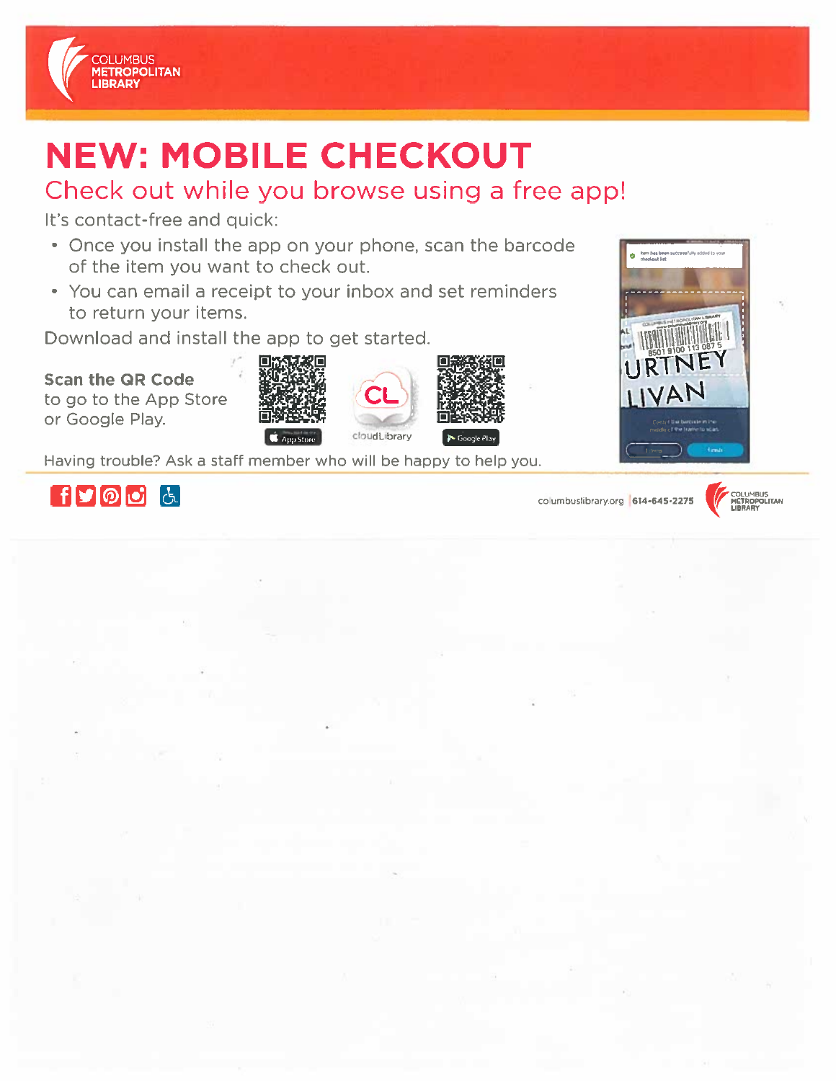

# **NEW: MOBILE CHECKOUT**

## Check out while you browse using a free app!

It's contact-free and quick:

- Once you install the app on your phone, scan the barcode of the item you want to check out.
- You can email a receipt to your inbox and set reminders to return your items.

Download and install the app to get started.

**Scan the QR Code** to go to the App Store or Google Play.









Having trouble? Ask a staff member who will be happy to help you.



columbuslibrary.org 614-645-2275



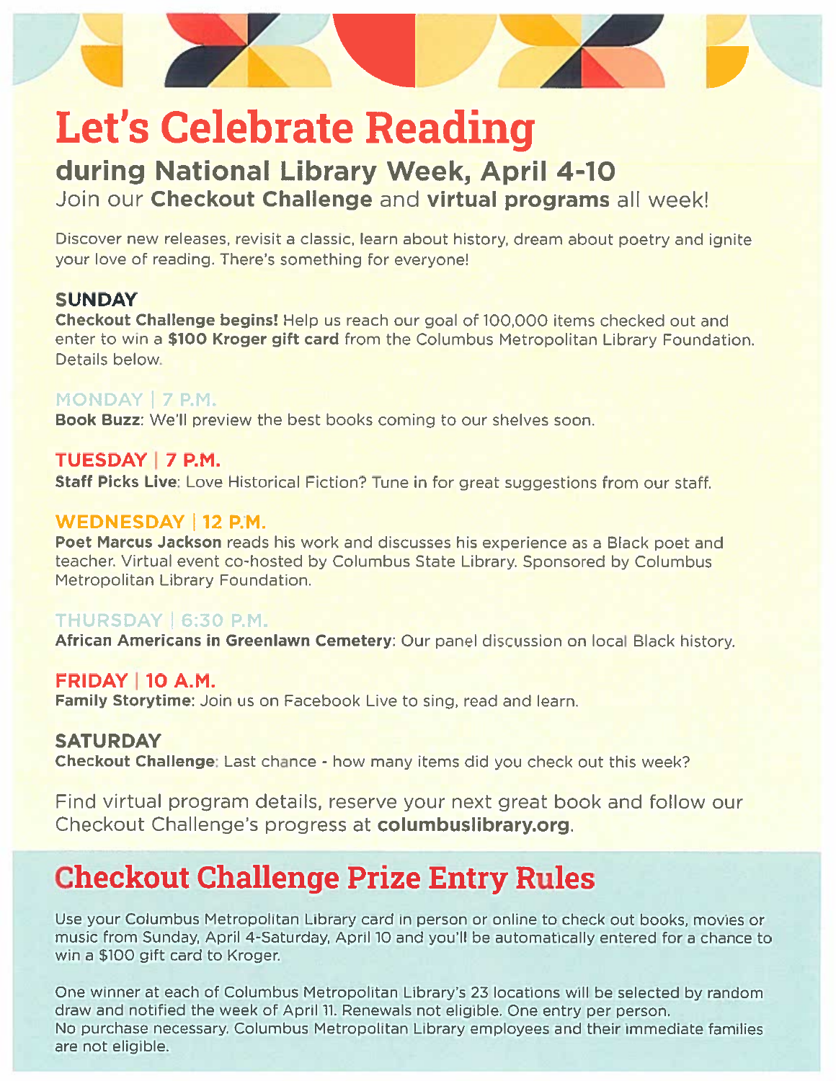

# **Let's Celebrate Reading**

### during National Library Week, April 4-10 Join our Checkout Challenge and virtual programs all week!

Discover new releases, revisit a classic, learn about history, dream about poetry and ignite your love of reading. There's something for everyone!

#### **SUNDAY**

Checkout Challenge begins! Help us reach our goal of 100,000 items checked out and enter to win a \$100 Kroger gift card from the Columbus Metropolitan Library Foundation. Details below.

#### MONDAY | 7 P.M.

Book Buzz: We'll preview the best books coming to our shelves soon.

#### TUESDAY | 7 P.M.

Staff Picks Live: Love Historical Fiction? Tune in for great suggestions from our staff.

#### **WEDNESDAY | 12 P.M.**

Poet Marcus Jackson reads his work and discusses his experience as a Black poet and teacher. Virtual event co-hosted by Columbus State Library. Sponsored by Columbus Metropolitan Library Foundation.

#### THURSDAY | 6:30 P.M.

African Americans in Greenlawn Cemetery: Our panel discussion on local Black history.

#### **FRIDAY 10 A.M.**

Family Storytime: Join us on Facebook Live to sing, read and learn.

#### **SATURDAY**

Checkout Challenge: Last chance - how many items did you check out this week?

Find virtual program details, reserve your next great book and follow our Checkout Challenge's progress at columbuslibrary.org.

# **Checkout Challenge Prize Entry Rules**

Use your Columbus Metropolitan Library card in person or online to check out books, movies or music from Sunday, April 4-Saturday, April 10 and you'll be automatically entered for a chance to win a \$100 gift card to Kroger.

One winner at each of Columbus Metropolitan Library's 23 locations will be selected by random draw and notified the week of April 11. Renewals not eligible. One entry per person. No purchase necessary. Columbus Metropolitan Library employees and their immediate families are not eligible.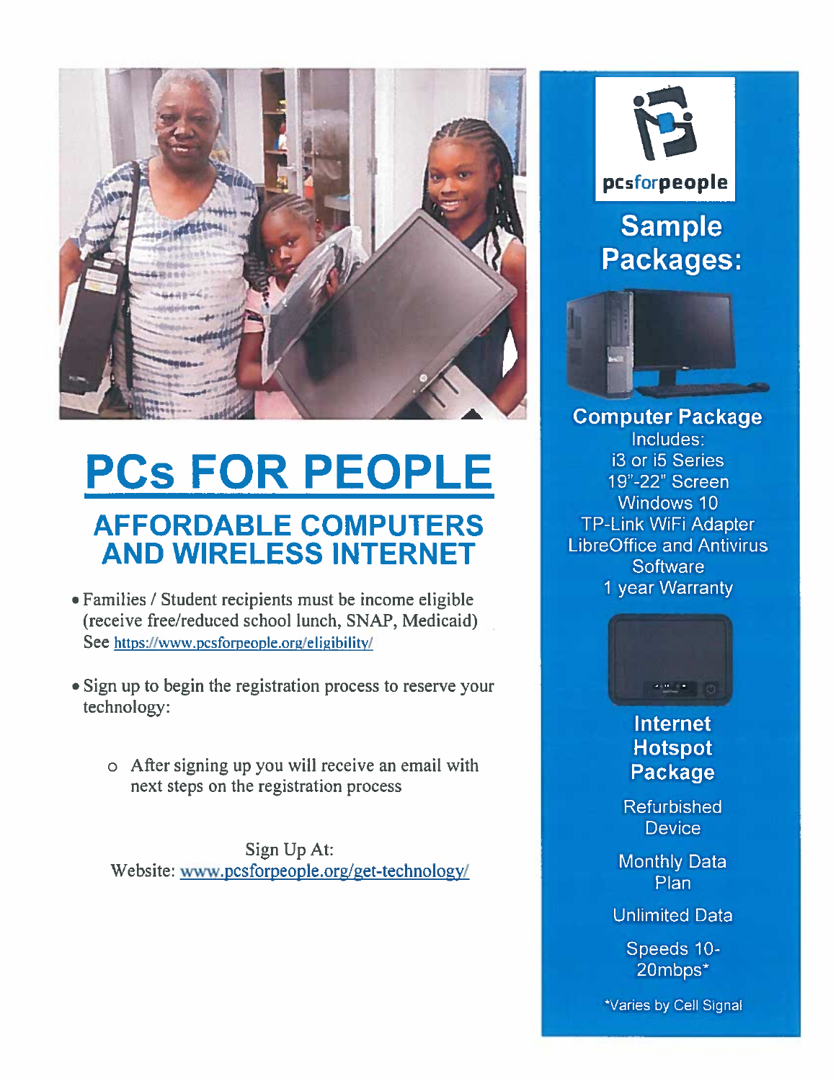

# **PCs FOR PEOPLE AFFORDABLE COMPUTERS AND WIRELESS INTERNET**

- Families / Student recipients must be income eligible (receive free/reduced school lunch, SNAP, Medicaid) See https://www.pcsforpeople.org/eligibility/
- Sign up to begin the registration process to reserve your technology:
	- o After signing up you will receive an email with next steps on the registration process

Sign Up At: Website: www.pcsforpeople.org/get-technology/



pcsforpeople

**Sample Packages:** 



**Computer Package** Includes: i3 or i5 Series 19"-22" Screen Windows 10 **TP-Link WiFi Adapter LibreOffice and Antivirus Software** 1 year Warranty



### **Internet Hotspot Package**

**Refurbished Device** 

**Monthly Data** Plan

**Unlimited Data** 

Speeds 10-20mbps\*

\*Varies by Cell Signal